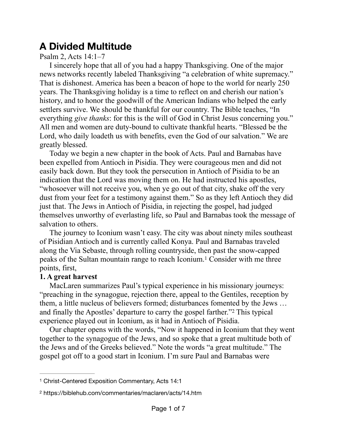## **A Divided Multitude**

Psalm 2, Acts 14:1–7

I sincerely hope that all of you had a happy Thanksgiving. One of the major news networks recently labeled Thanksgiving "a celebration of white supremacy." That is dishonest. America has been a beacon of hope to the world for nearly 250 years. The Thanksgiving holiday is a time to reflect on and cherish our nation's history, and to honor the goodwill of the American Indians who helped the early settlers survive. We should be thankful for our country. The Bible teaches, "In everything *give thanks*: for this is the will of God in Christ Jesus concerning you." All men and women are duty-bound to cultivate thankful hearts. "Blessed be the Lord, who daily loadeth us with benefits, even the God of our salvation." We are greatly blessed.

Today we begin a new chapter in the book of Acts. Paul and Barnabas have been expelled from Antioch in Pisidia. They were courageous men and did not easily back down. But they took the persecution in Antioch of Pisidia to be an indication that the Lord was moving them on. He had instructed his apostles, "whosoever will not receive you, when ye go out of that city, shake off the very dust from your feet for a testimony against them." So as they left Antioch they did just that. The Jews in Antioch of Pisidia, in rejecting the gospel, had judged themselves unworthy of everlasting life, so Paul and Barnabas took the message of salvation to others.

The journey to Iconium wasn't easy. The city was about ninety miles southeast of Pisidian Antioch and is currently called Konya. Paul and Barnabas traveled along the Via Sebaste, through rolling countryside, then past the snow-capped peaks of the Sultan mountain range to reach Iconium.<sup>[1](#page-0-0)</sup> Consider with me three points, first,

## <span id="page-0-2"></span>**1. A great harvest**

MacLaren summarizes Paul's typical experience in his missionary journeys: "preaching in the synagogue, rejection there, appeal to the Gentiles, reception by them, a little nucleus of believers formed; disturbances fomented by the Jews … and finally the Apostles' departure to carry the gospel farther."<sup>[2](#page-0-1)</sup> This typical experience played out in Iconium, as it had in Antioch of Pisidia.

<span id="page-0-3"></span>Our chapter opens with the words, "Now it happened in Iconium that they went together to the synagogue of the Jews, and so spoke that a great multitude both of the Jews and of the Greeks believed." Note the words "a great multitude." The gospel got off to a good start in Iconium. I'm sure Paul and Barnabas were

<span id="page-0-0"></span>[<sup>1</sup>](#page-0-2) Christ-Centered Exposition Commentary, Acts 14:1

<span id="page-0-1"></span>[<sup>2</sup>](#page-0-3) https://biblehub.com/commentaries/maclaren/acts/14.htm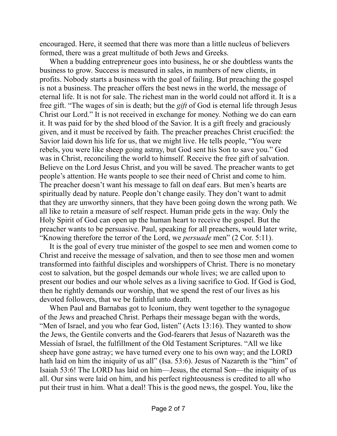encouraged. Here, it seemed that there was more than a little nucleus of believers formed, there was a great multitude of both Jews and Greeks.

When a budding entrepreneur goes into business, he or she doubtless wants the business to grow. Success is measured in sales, in numbers of new clients, in profits. Nobody starts a business with the goal of failing. But preaching the gospel is not a business. The preacher offers the best news in the world, the message of eternal life. It is not for sale. The richest man in the world could not afford it. It is a free gift. "The wages of sin is death; but the *gift* of God is eternal life through Jesus Christ our Lord." It is not received in exchange for money. Nothing we do can earn it. It was paid for by the shed blood of the Savior. It is a gift freely and graciously given, and it must be received by faith. The preacher preaches Christ crucified: the Savior laid down his life for us, that we might live. He tells people, "You were rebels, you were like sheep going astray, but God sent his Son to save you." God was in Christ, reconciling the world to himself. Receive the free gift of salvation. Believe on the Lord Jesus Christ, and you will be saved. The preacher wants to get people's attention. He wants people to see their need of Christ and come to him. The preacher doesn't want his message to fall on deaf ears. But men's hearts are spiritually dead by nature. People don't change easily. They don't want to admit that they are unworthy sinners, that they have been going down the wrong path. We all like to retain a measure of self respect. Human pride gets in the way. Only the Holy Spirit of God can open up the human heart to receive the gospel. But the preacher wants to be persuasive. Paul, speaking for all preachers, would later write, "Knowing therefore the terror of the Lord, we *persuade* men" (2 Cor. 5:11).

It is the goal of every true minister of the gospel to see men and women come to Christ and receive the message of salvation, and then to see those men and women transformed into faithful disciples and worshippers of Christ. There is no monetary cost to salvation, but the gospel demands our whole lives; we are called upon to present our bodies and our whole selves as a living sacrifice to God. If God is God, then he rightly demands our worship, that we spend the rest of our lives as his devoted followers, that we be faithful unto death.

When Paul and Barnabas got to Iconium, they went together to the synagogue of the Jews and preached Christ. Perhaps their message began with the words, "Men of Israel, and you who fear God, listen" (Acts 13:16). They wanted to show the Jews, the Gentile converts and the God-fearers that Jesus of Nazareth was the Messiah of Israel, the fulfillment of the Old Testament Scriptures. "All we like sheep have gone astray; we have turned every one to his own way; and the LORD hath laid on him the iniquity of us all" (Isa. 53:6). Jesus of Nazareth is the "him" of Isaiah 53:6! The LORD has laid on him—Jesus, the eternal Son—the iniquity of us all. Our sins were laid on him, and his perfect righteousness is credited to all who put their trust in him. What a deal! This is the good news, the gospel. You, like the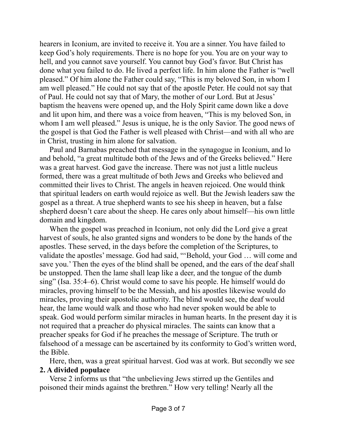hearers in Iconium, are invited to receive it. You are a sinner. You have failed to keep God's holy requirements. There is no hope for you. You are on your way to hell, and you cannot save yourself. You cannot buy God's favor. But Christ has done what you failed to do. He lived a perfect life. In him alone the Father is "well pleased." Of him alone the Father could say, "This is my beloved Son, in whom I am well pleased." He could not say that of the apostle Peter. He could not say that of Paul. He could not say that of Mary, the mother of our Lord. But at Jesus' baptism the heavens were opened up, and the Holy Spirit came down like a dove and lit upon him, and there was a voice from heaven, "This is my beloved Son, in whom I am well pleased." Jesus is unique, he is the only Savior. The good news of the gospel is that God the Father is well pleased with Christ—and with all who are in Christ, trusting in him alone for salvation.

Paul and Barnabas preached that message in the synagogue in Iconium, and lo and behold, "a great multitude both of the Jews and of the Greeks believed." Here was a great harvest. God gave the increase. There was not just a little nucleus formed, there was a great multitude of both Jews and Greeks who believed and committed their lives to Christ. The angels in heaven rejoiced. One would think that spiritual leaders on earth would rejoice as well. But the Jewish leaders saw the gospel as a threat. A true shepherd wants to see his sheep in heaven, but a false shepherd doesn't care about the sheep. He cares only about himself—his own little domain and kingdom.

When the gospel was preached in Iconium, not only did the Lord give a great harvest of souls, he also granted signs and wonders to be done by the hands of the apostles. These served, in the days before the completion of the Scriptures, to validate the apostles' message. God had said, "'Behold, your God … will come and save you.' Then the eyes of the blind shall be opened, and the ears of the deaf shall be unstopped. Then the lame shall leap like a deer, and the tongue of the dumb sing" (Isa. 35:4–6). Christ would come to save his people. He himself would do miracles, proving himself to be the Messiah, and his apostles likewise would do miracles, proving their apostolic authority. The blind would see, the deaf would hear, the lame would walk and those who had never spoken would be able to speak. God would perform similar miracles in human hearts. In the present day it is not required that a preacher do physical miracles. The saints can know that a preacher speaks for God if he preaches the message of Scripture. The truth or falsehood of a message can be ascertained by its conformity to God's written word, the Bible.

Here, then, was a great spiritual harvest. God was at work. But secondly we see **2. A divided populace**

Verse 2 informs us that "the unbelieving Jews stirred up the Gentiles and poisoned their minds against the brethren." How very telling! Nearly all the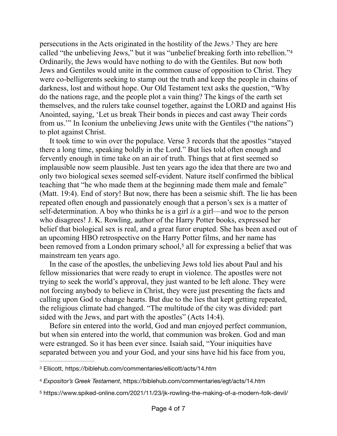<span id="page-3-4"></span><span id="page-3-3"></span>persecutionsin the Acts originated in the hostility of the Jews.<sup>[3](#page-3-0)</sup> They are here called "the unbelieving Jews," but it was "unbelief breaking forth into rebellion.["4](#page-3-1) Ordinarily, the Jews would have nothing to do with the Gentiles. But now both Jews and Gentiles would unite in the common cause of opposition to Christ. They were co-belligerents seeking to stamp out the truth and keep the people in chains of darkness, lost and without hope. Our Old Testament text asks the question, "Why do the nations rage, and the people plot a vain thing? The kings of the earth set themselves, and the rulers take counsel together, against the LORD and against His Anointed, saying, 'Let us break Their bonds in pieces and cast away Their cords from us.'" In Iconium the unbelieving Jews unite with the Gentiles ("the nations") to plot against Christ.

It took time to win over the populace. Verse 3 records that the apostles "stayed there a long time, speaking boldly in the Lord." But lies told often enough and fervently enough in time take on an air of truth. Things that at first seemed so implausible now seem plausible. Just ten years ago the idea that there are two and only two biological sexes seemed self-evident. Nature itself confirmed the biblical teaching that "he who made them at the beginning made them male and female" (Matt. 19:4). End of story! But now, there has been a seismic shift. The lie has been repeated often enough and passionately enough that a person's sex is a matter of self-determination. A boy who thinks he is a girl *is* a girl—and woe to the person who disagrees! J. K. Rowling, author of the Harry Potter books, expressed her belief that biological sex is real, and a great furor erupted. She has been axed out of an upcoming HBO retrospective on the Harry Potter films, and her name has been removed from a London primary school,<sup>[5](#page-3-2)</sup> all for expressing a belief that was mainstream ten years ago.

<span id="page-3-5"></span>In the case of the apostles, the unbelieving Jews told lies about Paul and his fellow missionaries that were ready to erupt in violence. The apostles were not trying to seek the world's approval, they just wanted to be left alone. They were not forcing anybody to believe in Christ, they were just presenting the facts and calling upon God to change hearts. But due to the lies that kept getting repeated, the religious climate had changed. "The multitude of the city was divided: part sided with the Jews, and part with the apostles" (Acts 14:4).

Before sin entered into the world, God and man enjoyed perfect communion, but when sin entered into the world, that communion was broken. God and man were estranged. So it has been ever since. Isaiah said, "Your iniquities have separated between you and your God, and your sins have hid his face from you,

<span id="page-3-0"></span>[<sup>3</sup>](#page-3-3) Ellicott, https://biblehub.com/commentaries/ellicott/acts/14.htm

<span id="page-3-1"></span>[<sup>4</sup>](#page-3-4) *Expositor's Greek Testament*, https://biblehub.com/commentaries/egt/acts/14.htm

<span id="page-3-2"></span><sup>&</sup>lt;sup>[5](#page-3-5)</sup> https://www.spiked-online.com/2021/11/23/jk-rowling-the-making-of-a-modern-folk-devil/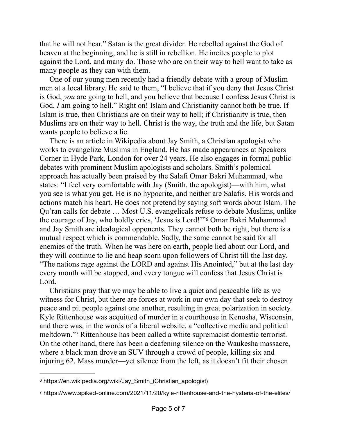that he will not hear." Satan is the great divider. He rebelled against the God of heaven at the beginning, and he is still in rebellion. He incites people to plot against the Lord, and many do. Those who are on their way to hell want to take as many people as they can with them.

One of our young men recently had a friendly debate with a group of Muslim men at a local library. He said to them, "I believe that if you deny that Jesus Christ is God, *you* are going to hell, and you believe that because I confess Jesus Christ is God, *I* am going to hell." Right on! Islam and Christianity cannot both be true. If Islam is true, then Christians are on their way to hell; if Christianity is true, then Muslims are on their way to hell. Christ is the way, the truth and the life, but Satan wants people to believe a lie.

There is an article in Wikipedia about Jay Smith, a Christian apologist who works to evangelize Muslims in England. He has made appearances at Speakers Corner in Hyde Park, London for over 24 years. He also engages in formal public debates with prominent Muslim apologists and scholars. Smith's polemical approach has actually been praised by the Salafi Omar Bakri Muhammad, who states: "I feel very comfortable with Jay (Smith, the apologist)—with him, what you see is what you get. He is no hypocrite, and neither are Salafis. His words and actions match his heart. He does not pretend by saying soft words about Islam. The Qu'ran calls for debate … Most U.S. evangelicals refuse to debate Muslims, unlike thecourage of Jay, who boldly cries, 'Jesus is Lord!'"<sup>[6](#page-4-0)</sup> Omar Bakri Muhammad and Jay Smith are idealogical opponents. They cannot both be right, but there is a mutual respect which is commendable. Sadly, the same cannot be said for all enemies of the truth. When he was here on earth, people lied about our Lord, and they will continue to lie and heap scorn upon followers of Christ till the last day. "The nations rage against the LORD and against His Anointed," but at the last day every mouth will be stopped, and every tongue will confess that Jesus Christ is Lord.

<span id="page-4-3"></span><span id="page-4-2"></span>Christians pray that we may be able to live a quiet and peaceable life as we witness for Christ, but there are forces at work in our own day that seek to destroy peace and pit people against one another, resulting in great polarization in society. Kyle Rittenhouse was acquitted of murder in a courthouse in Kenosha, Wisconsin, and there was, in the words of a liberal website, a "collective media and political meltdown."<sup>[7](#page-4-1)</sup> Rittenhouse has been called a white supremacist domestic terrorist. On the other hand, there has been a deafening silence on the Waukesha massacre, where a black man drove an SUV through a crowd of people, killing six and injuring 62. Mass murder—yet silence from the left, as it doesn't fit their chosen

<span id="page-4-0"></span>https://en.wikipedia.org/wiki/Jay\_Smith\_(Christian\_apologist) [6](#page-4-2)

<span id="page-4-1"></span>https://www.spiked-online.com/2021/11/20/kyle-rittenhouse-and-the-hysteria-of-the-elites/ [7](#page-4-3)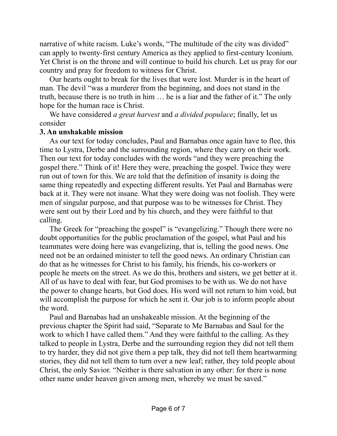narrative of white racism. Luke's words, "The multitude of the city was divided" can apply to twenty-first century America as they applied to first-century Iconium. Yet Christ is on the throne and will continue to build his church. Let us pray for our country and pray for freedom to witness for Christ.

Our hearts ought to break for the lives that were lost. Murder is in the heart of man. The devil "was a murderer from the beginning, and does not stand in the truth, because there is no truth in him … he is a liar and the father of it." The only hope for the human race is Christ.

We have considered *a great harvest* and *a divided populace*; finally, let us consider

## **3. An unshakable mission**

As our text for today concludes, Paul and Barnabas once again have to flee, this time to Lystra, Derbe and the surrounding region, where they carry on their work. Then our text for today concludes with the words "and they were preaching the gospel there." Think of it! Here they were, preaching the gospel. Twice they were run out of town for this. We are told that the definition of insanity is doing the same thing repeatedly and expecting different results. Yet Paul and Barnabas were back at it. They were not insane. What they were doing was not foolish. They were men of singular purpose, and that purpose was to be witnesses for Christ. They were sent out by their Lord and by his church, and they were faithful to that calling.

The Greek for "preaching the gospel" is "evangelizing." Though there were no doubt opportunities for the public proclamation of the gospel, what Paul and his teammates were doing here was evangelizing, that is, telling the good news. One need not be an ordained minister to tell the good news. An ordinary Christian can do that as he witnesses for Christ to his family, his friends, his co-workers or people he meets on the street. As we do this, brothers and sisters, we get better at it. All of us have to deal with fear, but God promises to be with us. We do not have the power to change hearts, but God does. His word will not return to him void, but will accomplish the purpose for which he sent it. Our job is to inform people about the word.

Paul and Barnabas had an unshakeable mission. At the beginning of the previous chapter the Spirit had said, "Separate to Me Barnabas and Saul for the work to which I have called them." And they were faithful to the calling. As they talked to people in Lystra, Derbe and the surrounding region they did not tell them to try harder, they did not give them a pep talk, they did not tell them heartwarming stories, they did not tell them to turn over a new leaf; rather, they told people about Christ, the only Savior. "Neither is there salvation in any other: for there is none other name under heaven given among men, whereby we must be saved."